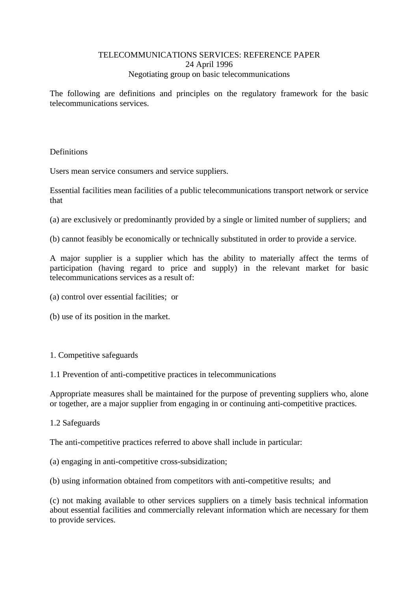# TELECOMMUNICATIONS SERVICES: REFERENCE PAPER 24 April 1996 Negotiating group on basic telecommunications

The following are definitions and principles on the regulatory framework for the basic telecommunications services.

# **Definitions**

Users mean service consumers and service suppliers.

Essential facilities mean facilities of a public telecommunications transport network or service that

- (a) are exclusively or predominantly provided by a single or limited number of suppliers; and
- (b) cannot feasibly be economically or technically substituted in order to provide a service.

A major supplier is a supplier which has the ability to materially affect the terms of participation (having regard to price and supply) in the relevant market for basic telecommunications services as a result of:

- (a) control over essential facilities; or
- (b) use of its position in the market.

## 1. Competitive safeguards

## 1.1 Prevention of anti-competitive practices in telecommunications

Appropriate measures shall be maintained for the purpose of preventing suppliers who, alone or together, are a major supplier from engaging in or continuing anti-competitive practices.

## 1.2 Safeguards

The anti-competitive practices referred to above shall include in particular:

(a) engaging in anti-competitive cross-subsidization;

(b) using information obtained from competitors with anti-competitive results; and

(c) not making available to other services suppliers on a timely basis technical information about essential facilities and commercially relevant information which are necessary for them to provide services.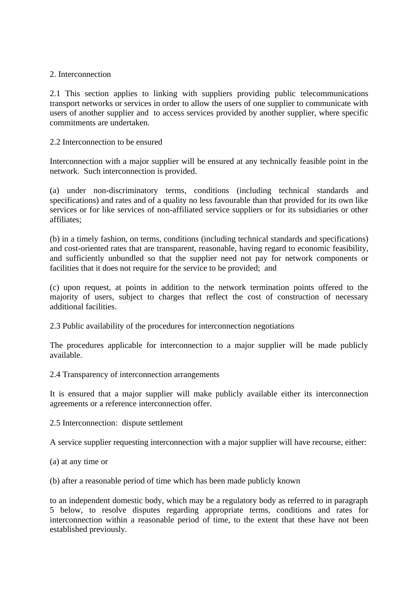## 2. Interconnection

2.1 This section applies to linking with suppliers providing public telecommunications transport networks or services in order to allow the users of one supplier to communicate with users of another supplier and to access services provided by another supplier, where specific commitments are undertaken.

#### 2.2 Interconnection to be ensured

Interconnection with a major supplier will be ensured at any technically feasible point in the network. Such interconnection is provided.

(a) under non-discriminatory terms, conditions (including technical standards and specifications) and rates and of a quality no less favourable than that provided for its own like services or for like services of non-affiliated service suppliers or for its subsidiaries or other affiliates;

(b) in a timely fashion, on terms, conditions (including technical standards and specifications) and cost-oriented rates that are transparent, reasonable, having regard to economic feasibility, and sufficiently unbundled so that the supplier need not pay for network components or facilities that it does not require for the service to be provided; and

(c) upon request, at points in addition to the network termination points offered to the majority of users, subject to charges that reflect the cost of construction of necessary additional facilities.

2.3 Public availability of the procedures for interconnection negotiations

The procedures applicable for interconnection to a major supplier will be made publicly available.

2.4 Transparency of interconnection arrangements

It is ensured that a major supplier will make publicly available either its interconnection agreements or a reference interconnection offer.

2.5 Interconnection: dispute settlement

A service supplier requesting interconnection with a major supplier will have recourse, either:

(a) at any time or

(b) after a reasonable period of time which has been made publicly known

to an independent domestic body, which may be a regulatory body as referred to in paragraph 5 below, to resolve disputes regarding appropriate terms, conditions and rates for interconnection within a reasonable period of time, to the extent that these have not been established previously.